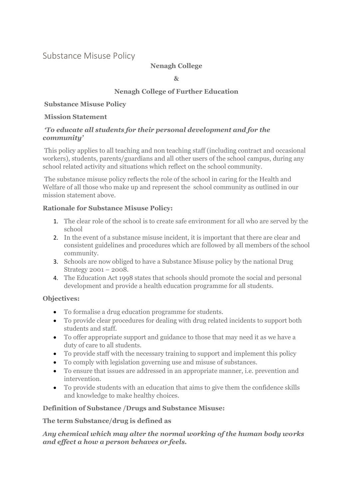# Substance Misuse Policy

## **Nenagh College**

**&**

## **Nenagh College of Further Education**

### **Substance Misuse Policy**

### **Mission Statement**

## *'To educate all students for their personal development and for the community'*

This policy applies to all teaching and non teaching staff (including contract and occasional workers), students, parents/guardians and all other users of the school campus, during any school related activity and situations which reflect on the school community.

The substance misuse policy reflects the role of the school in caring for the Health and Welfare of all those who make up and represent the school community as outlined in our mission statement above.

## **Rationale for Substance Misuse Policy:**

- 1. The clear role of the school is to create safe environment for all who are served by the school
- 2. In the event of a substance misuse incident, it is important that there are clear and consistent guidelines and procedures which are followed by all members of the school community.
- 3. Schools are now obliged to have a Substance Misuse policy by the national Drug Strategy 2001 – 2008.
- 4. The Education Act 1998 states that schools should promote the social and personal development and provide a health education programme for all students.

## **Objectives:**

- To formalise a drug education programme for students.
- To provide clear procedures for dealing with drug related incidents to support both students and staff.
- To offer appropriate support and guidance to those that may need it as we have a duty of care to all students.
- To provide staff with the necessary training to support and implement this policy
- To comply with legislation governing use and misuse of substances.
- To ensure that issues are addressed in an appropriate manner, i.e. prevention and intervention.
- To provide students with an education that aims to give them the confidence skills and knowledge to make healthy choices.

## **Definition of Substance /Drugs and Substance Misuse:**

## **The term Substance/drug is defined as**

## *Any chemical which may alter the normal working of the human body works and effect a how a person behaves or feels.*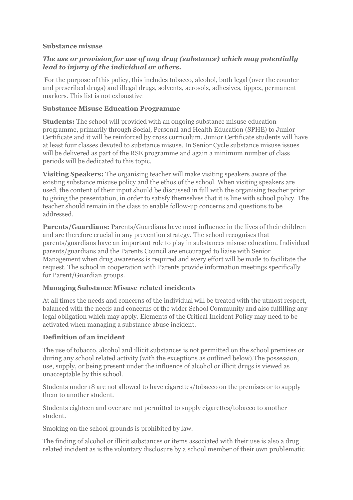### **Substance misuse**

## *The use or provision for use of any drug (substance) which may potentially lead to injury of the individual or others.*

For the purpose of this policy, this includes tobacco, alcohol, both legal (over the counter and prescribed drugs) and illegal drugs, solvents, aerosols, adhesives, tippex, permanent markers. This list is not exhaustive

## **Substance Misuse Education Programme**

**Students:** The school will provided with an ongoing substance misuse education programme, primarily through Social, Personal and Health Education (SPHE) to Junior Certificate and it will be reinforced by cross curriculum. Junior Certificate students will have at least four classes devoted to substance misuse. In Senior Cycle substance misuse issues will be delivered as part of the RSE programme and again a minimum number of class periods will be dedicated to this topic.

**Visiting Speakers:** The organising teacher will make visiting speakers aware of the existing substance misuse policy and the ethos of the school. When visiting speakers are used, the content of their input should be discussed in full with the organising teacher prior to giving the presentation, in order to satisfy themselves that it is line with school policy. The teacher should remain in the class to enable follow-up concerns and questions to be addressed.

**Parents/Guardians:** Parents/Guardians have most influence in the lives of their children and are therefore crucial in any prevention strategy. The school recognises that parents/guardians have an important role to play in substances misuse education. Individual parents/guardians and the Parents Council are encouraged to liaise with Senior Management when drug awareness is required and every effort will be made to facilitate the request. The school in cooperation with Parents provide information meetings specifically for Parent/Guardian groups.

## **Managing Substance Misuse related incidents**

At all times the needs and concerns of the individual will be treated with the utmost respect, balanced with the needs and concerns of the wider School Community and also fulfilling any legal obligation which may apply. Elements of the Critical Incident Policy may need to be activated when managing a substance abuse incident.

## **Definition of an incident**

The use of tobacco, alcohol and illicit substances is not permitted on the school premises or during any school related activity (with the exceptions as outlined below).The possession, use, supply, or being present under the influence of alcohol or illicit drugs is viewed as unacceptable by this school.

Students under 18 are not allowed to have cigarettes/tobacco on the premises or to supply them to another student.

Students eighteen and over are not permitted to supply cigarettes/tobacco to another student.

Smoking on the school grounds is prohibited by law.

The finding of alcohol or illicit substances or items associated with their use is also a drug related incident as is the voluntary disclosure by a school member of their own problematic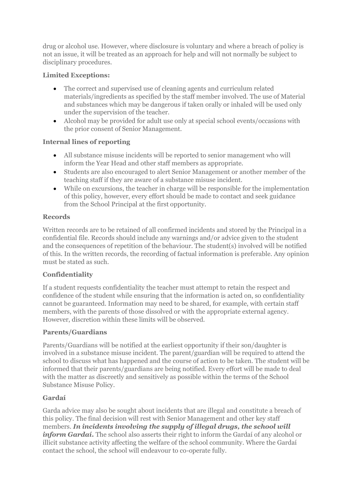drug or alcohol use. However, where disclosure is voluntary and where a breach of policy is not an issue, it will be treated as an approach for help and will not normally be subject to disciplinary procedures.

## **Limited Exceptions:**

- The correct and supervised use of cleaning agents and curriculum related materials/ingredients as specified by the staff member involved. The use of Material and substances which may be dangerous if taken orally or inhaled will be used only under the supervision of the teacher.
- Alcohol may be provided for adult use only at special school events/occasions with the prior consent of Senior Management.

## **Internal lines of reporting**

- All substance misuse incidents will be reported to senior management who will inform the Year Head and other staff members as appropriate.
- Students are also encouraged to alert Senior Management or another member of the teaching staff if they are aware of a substance misuse incident.
- While on excursions, the teacher in charge will be responsible for the implementation of this policy, however, every effort should be made to contact and seek guidance from the School Principal at the first opportunity.

## **Records**

Written records are to be retained of all confirmed incidents and stored by the Principal in a confidential file. Records should include any warnings and/or advice given to the student and the consequences of repetition of the behaviour. The student(s) involved will be notified of this. In the written records, the recording of factual information is preferable. Any opinion must be stated as such.

## **Confidentiality**

If a student requests confidentiality the teacher must attempt to retain the respect and confidence of the student while ensuring that the information is acted on, so confidentiality cannot be guaranteed. Information may need to be shared, for example, with certain staff members, with the parents of those dissolved or with the appropriate external agency. However, discretion within these limits will be observed.

## **Parents/Guardians**

Parents/Guardians will be notified at the earliest opportunity if their son/daughter is involved in a substance misuse incident. The parent/guardian will be required to attend the school to discuss what has happened and the course of action to be taken. The student will be informed that their parents/guardians are being notified. Every effort will be made to deal with the matter as discreetly and sensitively as possible within the terms of the School Substance Misuse Policy.

## **Gardaí**

Garda advice may also be sought about incidents that are illegal and constitute a breach of this policy. The final decision will rest with Senior Management and other key staff members. *In incidents involving the supply of illegal drugs, the school will inform Gardaí.* The school also asserts their right to inform the Gardaí of any alcohol or illicit substance activity affecting the welfare of the school community. Where the Gardaí contact the school, the school will endeavour to co-operate fully.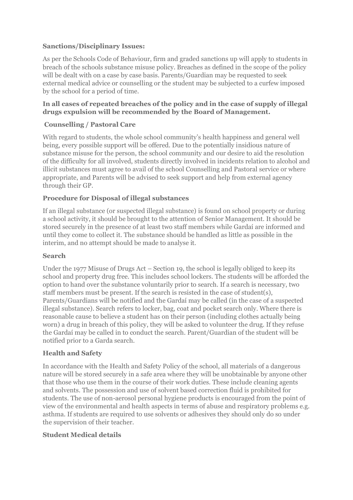## **Sanctions/Disciplinary Issues:**

As per the Schools Code of Behaviour, firm and graded sanctions up will apply to students in breach of the schools substance misuse policy. Breaches as defined in the scope of the policy will be dealt with on a case by case basis. Parents/Guardian may be requested to seek external medical advice or counselling or the student may be subjected to a curfew imposed by the school for a period of time.

### **In all cases of repeated breaches of the policy and in the case of supply of illegal drugs expulsion will be recommended by the Board of Management.**

## **Counselling / Pastoral Care**

With regard to students, the whole school community's health happiness and general well being, every possible support will be offered. Due to the potentially insidious nature of substance misuse for the person, the school community and our desire to aid the resolution of the difficulty for all involved, students directly involved in incidents relation to alcohol and illicit substances must agree to avail of the school Counselling and Pastoral service or where appropriate, and Parents will be advised to seek support and help from external agency through their GP.

### **Procedure for Disposal of illegal substances**

If an illegal substance (or suspected illegal substance) is found on school property or during a school activity, it should be brought to the attention of Senior Management. It should be stored securely in the presence of at least two staff members while Gardaí are informed and until they come to collect it. The substance should be handled as little as possible in the interim, and no attempt should be made to analyse it.

#### **Search**

Under the 1977 Misuse of Drugs Act – Section 19, the school is legally obliged to keep its school and property drug free. This includes school lockers. The students will be afforded the option to hand over the substance voluntarily prior to search. If a search is necessary, two staff members must be present. If the search is resisted in the case of student(s), Parents/Guardians will be notified and the Gardaí may be called (in the case of a suspected illegal substance). Search refers to locker, bag, coat and pocket search only. Where there is reasonable cause to believe a student has on their person (including clothes actually being worn) a drug in breach of this policy, they will be asked to volunteer the drug. If they refuse the Gardaí may be called in to conduct the search. Parent/Guardian of the student will be notified prior to a Garda search.

## **Health and Safety**

In accordance with the Health and Safety Policy of the school, all materials of a dangerous nature will be stored securely in a safe area where they will be unobtainable by anyone other that those who use them in the course of their work duties. These include cleaning agents and solvents. The possession and use of solvent based correction fluid is prohibited for students. The use of non-aerosol personal hygiene products is encouraged from the point of view of the environmental and health aspects in terms of abuse and respiratory problems e.g. asthma. If students are required to use solvents or adhesives they should only do so under the supervision of their teacher.

#### **Student Medical details**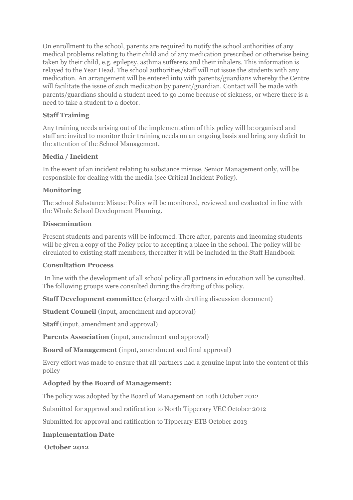On enrollment to the school, parents are required to notify the school authorities of any medical problems relating to their child and of any medication prescribed or otherwise being taken by their child, e.g. epilepsy, asthma sufferers and their inhalers. This information is relayed to the Year Head. The school authorities/staff will not issue the students with any medication. An arrangement will be entered into with parents/guardians whereby the Centre will facilitate the issue of such medication by parent/guardian. Contact will be made with parents/guardians should a student need to go home because of sickness, or where there is a need to take a student to a doctor.

## **Staff Training**

Any training needs arising out of the implementation of this policy will be organised and staff are invited to monitor their training needs on an ongoing basis and bring any deficit to the attention of the School Management.

## **Media / Incident**

In the event of an incident relating to substance misuse, Senior Management only, will be responsible for dealing with the media (see Critical Incident Policy).

### **Monitoring**

The school Substance Misuse Policy will be monitored, reviewed and evaluated in line with the Whole School Development Planning.

### **Dissemination**

Present students and parents will be informed. There after, parents and incoming students will be given a copy of the Policy prior to accepting a place in the school. The policy will be circulated to existing staff members, thereafter it will be included in the Staff Handbook

#### **Consultation Process**

In line with the development of all school policy all partners in education will be consulted. The following groups were consulted during the drafting of this policy.

**Staff Development committee** (charged with drafting discussion document)

**Student Council** (input, amendment and approval)

**Staff** (input, amendment and approval)

**Parents Association** (input, amendment and approval)

**Board of Management** (input, amendment and final approval)

Every effort was made to ensure that all partners had a genuine input into the content of this policy

## **Adopted by the Board of Management:**

The policy was adopted by the Board of Management on 10th October 2012

Submitted for approval and ratification to North Tipperary VEC October 2012

Submitted for approval and ratification to Tipperary ETB October 2013

#### **Implementation Date**

**October 2012**